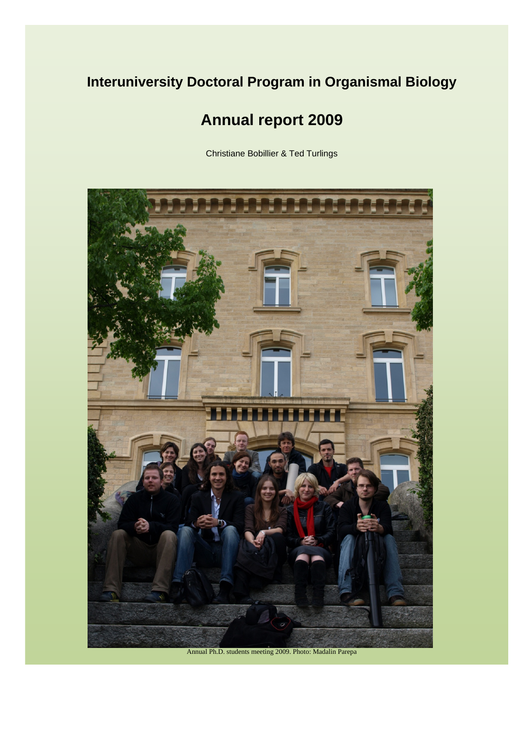## **Interuniversity Doctoral Program in Organismal Biology**

# **Annual report 2009**

Christiane Bobillier & Ted Turlings

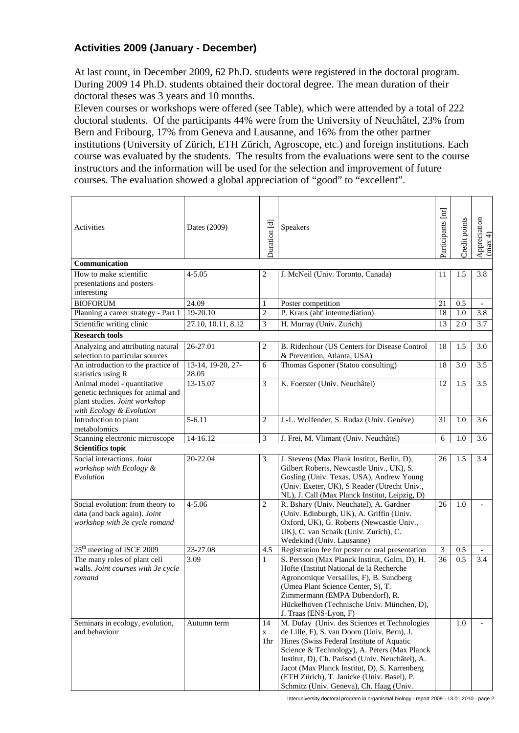### **Activities 2009 (January - December)**

At last count, in December 2009, 62 Ph.D. students were registered in the doctoral program. During 2009 14 Ph.D. students obtained their doctoral degree. The mean duration of their doctoral theses was 3 years and 10 months.

Eleven courses or workshops were offered (see Table), which were attended by a total of 222 doctoral students. Of the participants 44% were from the University of Neuchâtel, 23% from Bern and Fribourg, 17% from Geneva and Lausanne, and 16% from the other partner institutions (University of Zürich, ETH Zürich, Agroscope, etc.) and foreign institutions. Each course was evaluated by the students. The results from the evaluations were sent to the course instructors and the information will be used for the selection and improvement of future courses. The evaluation showed a global appreciation of "good" to "excellent".

| Activities                                                                                                                    | Dates (2009)       | Duration [d]   | Speakers                                                             | Participants [nr]           | Credit points    | Appreciation<br>(max 4) |
|-------------------------------------------------------------------------------------------------------------------------------|--------------------|----------------|----------------------------------------------------------------------|-----------------------------|------------------|-------------------------|
| Communication                                                                                                                 |                    |                |                                                                      |                             |                  |                         |
| How to make scientific                                                                                                        | $4 - 5.05$         | $\sqrt{2}$     | J. McNeil (Univ. Toronto, Canada)                                    | 11                          | 1.5              | 3.8                     |
| presentations and posters                                                                                                     |                    |                |                                                                      |                             |                  |                         |
| interesting                                                                                                                   |                    |                |                                                                      |                             |                  |                         |
| <b>BIOFORUM</b>                                                                                                               | 24.09              | $\mathbf{1}$   | Poster competition                                                   | 21                          | 0.5              |                         |
| Planning a career strategy - Part 1                                                                                           | 19-20.10           | $\mathfrak{2}$ | P. Kraus (aht' intermediation)                                       | 18                          | 1.0              | 3.8                     |
| Scientific writing clinic                                                                                                     | 27.10, 10.11, 8.12 | 3              | H. Murray (Univ. Zurich)                                             | 13                          | 2.0              | 3.7                     |
| <b>Research tools</b>                                                                                                         |                    |                |                                                                      |                             |                  |                         |
| Analyzing and attributing natural                                                                                             | 26-27.01           | $\overline{c}$ | B. Ridenhour (US Centers for Disease Control                         | 18                          | 1.5              | 3.0                     |
| selection to particular sources                                                                                               |                    |                | & Prevention, Atlanta, USA)                                          |                             |                  |                         |
| An introduction to the practice of                                                                                            | 13-14, 19-20, 27-  | $\sqrt{6}$     | Thomas Gsponer (Statoo consulting)                                   | 18                          | 3.0              | 3.5                     |
| statistics using R                                                                                                            | 28.05              |                |                                                                      |                             |                  |                         |
| Animal model - quantitative<br>genetic techniques for animal and<br>plant studies. Joint workshop<br>with Ecology & Evolution | 13-15.07           | $\overline{3}$ | K. Foerster (Univ. Neuchâtel)                                        | 12                          | 1.5              | 3.5                     |
| Introduction to plant<br>metabolomics                                                                                         | $5 - 6.11$         | $\sqrt{2}$     | J.-L. Wolfender, S. Rudaz (Univ. Genève)                             | 31                          | 1.0              | 3.6                     |
| Scanning electronic microscope                                                                                                | 14-16.12           | 3              | J. Frei, M. Vlimant (Univ. Neuchâtel)                                | 6                           | $1.\overline{0}$ | 3.6                     |
| <b>Scientifics topic</b>                                                                                                      |                    |                |                                                                      |                             |                  |                         |
| Social interactions. Joint                                                                                                    | 20-22.04           | 3              | J. Stevens (Max Plank Institut, Berlin, D),                          | 26                          | 1.5              | 3.4                     |
| workshop with Ecology &                                                                                                       |                    |                | Gilbert Roberts, Newcastle Univ., UK), S.                            |                             |                  |                         |
| Evolution                                                                                                                     |                    |                | Gosling (Univ. Texas, USA), Andrew Young                             |                             |                  |                         |
|                                                                                                                               |                    |                | (Univ. Exeter, UK), S Reader (Utrecht Univ.,                         |                             |                  |                         |
|                                                                                                                               |                    |                | NL), J. Call (Max Planck Institut, Leipzig, D)                       |                             |                  |                         |
| Social evolution: from theory to                                                                                              | $4 - 5.06$         | $\overline{2}$ | R. Bshary (Univ. Neuchatel), A. Gardner                              | 26                          | 1.0              |                         |
| data (and back again). Joint                                                                                                  |                    |                | (Univ. Edinburgh, UK), A. Griffin (Univ.                             |                             |                  |                         |
| workshop with 3e cycle romand                                                                                                 |                    |                | Oxford, UK), G. Roberts (Newcastle Univ.,                            |                             |                  |                         |
|                                                                                                                               |                    |                | UK), C. van Schaik (Univ. Zurich), C.                                |                             |                  |                         |
|                                                                                                                               |                    |                | Wedekind (Univ. Lausanne)                                            |                             |                  |                         |
| 25 <sup>th</sup> meeting of ISCE 2009                                                                                         | 23-27.08           | 4.5            | Registration fee for poster or oral presentation                     | $\boldsymbol{\mathfrak{Z}}$ | 0.5              |                         |
| The many roles of plant cell                                                                                                  | 3.09               | $\mathbf{1}$   | S. Persson (Max Planck Institut, Golm, D), H.                        | 36                          | 0.5              | 3.4                     |
| walls. Joint courses with 3e cycle                                                                                            |                    |                | Höfte (Institut National de la Recherche                             |                             |                  |                         |
| romand                                                                                                                        |                    |                | Agronomique Versailles, F), B. Sundberg                              |                             |                  |                         |
|                                                                                                                               |                    |                | (Umea Plant Science Center, S), T.                                   |                             |                  |                         |
|                                                                                                                               |                    |                | Zimmermann (EMPA Dübendorf), R.                                      |                             |                  |                         |
|                                                                                                                               |                    |                | Hückelhoven (Technische Univ. München, D),<br>J. Traas (ENS-Lyon, F) |                             |                  |                         |
| Seminars in ecology, evolution,                                                                                               | Autumn term        | 14             | M. Dufay (Univ. des Sciences et Technologies                         |                             | 1.0              |                         |
| and behaviour                                                                                                                 |                    | $\mathbf X$    | de Lille, F), S. van Doorn (Univ. Bern), J.                          |                             |                  |                         |
|                                                                                                                               |                    | 1hr            | Hines (Swiss Federal Institute of Aquatic                            |                             |                  |                         |
|                                                                                                                               |                    |                | Science & Technology), A. Peters (Max Planck                         |                             |                  |                         |
|                                                                                                                               |                    |                | Institut, D), Ch. Parisod (Univ. Neuchâtel), A.                      |                             |                  |                         |
|                                                                                                                               |                    |                | Jacot (Max Planck Institut, D), S. Karrenberg                        |                             |                  |                         |
|                                                                                                                               |                    |                | (ETH Zürich), T. Janicke (Univ. Basel), P.                           |                             |                  |                         |
|                                                                                                                               |                    |                | Schmitz (Univ. Geneva), Ch. Haag (Univ.                              |                             |                  |                         |

Interuniversity doctoral program in organismal biology - report 2009 - 13.01.2010 - page 2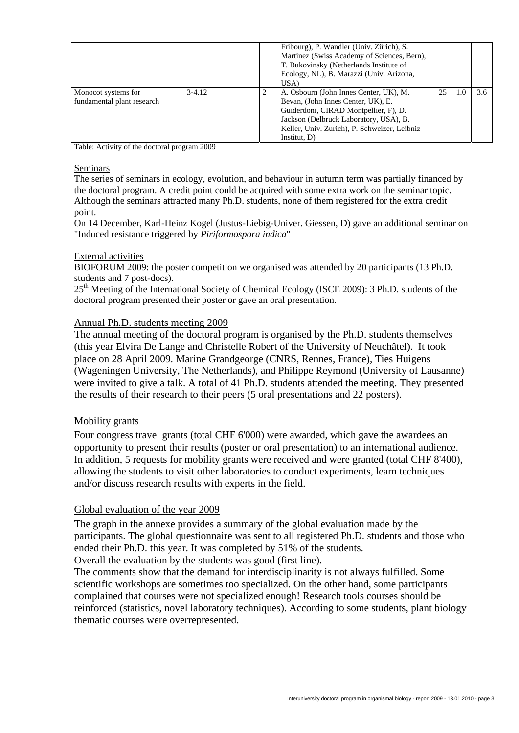|                                                   |          |   | Fribourg), P. Wandler (Univ. Zürich), S.<br>Martinez (Swiss Academy of Sciences, Bern),<br>T. Bukovinsky (Netherlands Institute of<br>Ecology, NL), B. Marazzi (Univ. Arizona,<br>USA)                                              |    |     |
|---------------------------------------------------|----------|---|-------------------------------------------------------------------------------------------------------------------------------------------------------------------------------------------------------------------------------------|----|-----|
| Monocot systems for<br>fundamental plant research | $3-4.12$ | 2 | A. Osbourn (John Innes Center, UK), M.<br>Bevan, (John Innes Center, UK), E.<br>Guiderdoni, CIRAD Montpellier, F), D.<br>Jackson (Delbruck Laboratory, USA), B.<br>Keller, Univ. Zurich), P. Schweizer, Leibniz-<br>Institut, $D$ ) | 25 | 3.6 |

Table: Activity of the doctoral program 2009

#### Seminars

The series of seminars in ecology, evolution, and behaviour in autumn term was partially financed by the doctoral program. A credit point could be acquired with some extra work on the seminar topic. Although the seminars attracted many Ph.D. students, none of them registered for the extra credit point.

On 14 December, Karl-Heinz Kogel (Justus-Liebig-Univer. Giessen, D) gave an additional seminar on "Induced resistance triggered by *Piriformospora indica*"

#### External activities

BIOFORUM 2009: the poster competition we organised was attended by 20 participants (13 Ph.D. students and 7 post-docs).

25<sup>th</sup> Meeting of the International Society of Chemical Ecology (ISCE 2009): 3 Ph.D. students of the doctoral program presented their poster or gave an oral presentation.

#### Annual Ph.D. students meeting 2009

The annual meeting of the doctoral program is organised by the Ph.D. students themselves (this year Elvira De Lange and Christelle Robert of the University of Neuchâtel). It took place on 28 April 2009. Marine Grandgeorge (CNRS, Rennes, France), Ties Huigens (Wageningen University, The Netherlands), and Philippe Reymond (University of Lausanne) were invited to give a talk. A total of 41 Ph.D. students attended the meeting. They presented the results of their research to their peers (5 oral presentations and 22 posters).

#### Mobility grants

Four congress travel grants (total CHF 6'000) were awarded, which gave the awardees an opportunity to present their results (poster or oral presentation) to an international audience. In addition, 5 requests for mobility grants were received and were granted (total CHF 8'400), allowing the students to visit other laboratories to conduct experiments, learn techniques and/or discuss research results with experts in the field.

#### Global evaluation of the year 2009

The graph in the annexe provides a summary of the global evaluation made by the participants. The global questionnaire was sent to all registered Ph.D. students and those who ended their Ph.D. this year. It was completed by 51% of the students. Overall the evaluation by the students was good (first line).

The comments show that the demand for interdisciplinarity is not always fulfilled. Some scientific workshops are sometimes too specialized. On the other hand, some participants complained that courses were not specialized enough! Research tools courses should be reinforced (statistics, novel laboratory techniques). According to some students, plant biology thematic courses were overrepresented.